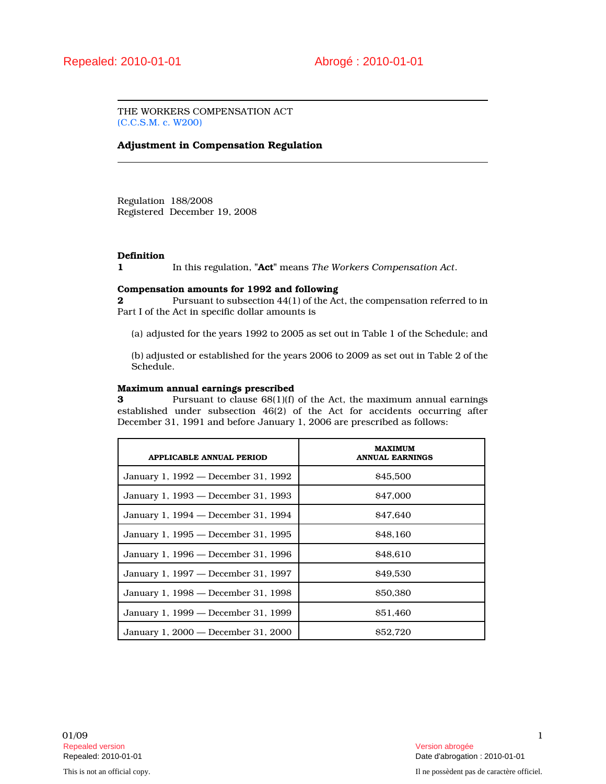THE WORKERS COMPENSATION ACT (C.C.S.M. c. W200)

# Adjustment in Compensation Regulation

Regulation 188/2008 Registered December 19, 2008

# **Definition**

1 In this regulation, "Act" means The Workers Compensation Act.

### Compensation amounts for 1992 and following

2 Pursuant to subsection  $44(1)$  of the Act, the compensation referred to in Part I of the Act in specific dollar amounts is

(a) adjusted for the years 1992 to 2005 as set out in Table 1 of the Schedule; and

(b) adjusted or established for the years 2006 to 2009 as set out in Table 2 of the Schedule.

#### Maximum annual earnings prescribed

3 Pursuant to clause 68(1)(f) of the Act, the maximum annual earnings established under subsection 46(2) of the Act for accidents occurring after December 31, 1991 and before January 1, 2006 are prescribed as follows:

| <b>APPLICABLE ANNUAL PERIOD</b>     | <b>MAXIMUM</b><br><b>ANNUAL EARNINGS</b> |
|-------------------------------------|------------------------------------------|
| January 1, 1992 — December 31, 1992 | \$45,500                                 |
| January 1, 1993 — December 31, 1993 | <b>S47,000</b>                           |
| January 1, 1994 — December 31, 1994 | <b>S47.640</b>                           |
| January 1, 1995 — December 31, 1995 | <b>S48.160</b>                           |
| January 1, 1996 — December 31, 1996 | \$48.610                                 |
| January 1, 1997 — December 31, 1997 | \$49,530                                 |
| January 1, 1998 — December 31, 1998 | \$50,380                                 |
| January 1, 1999 — December 31, 1999 | <b>S51.460</b>                           |
| January 1, 2000 – December 31, 2000 | <b>S52.720</b>                           |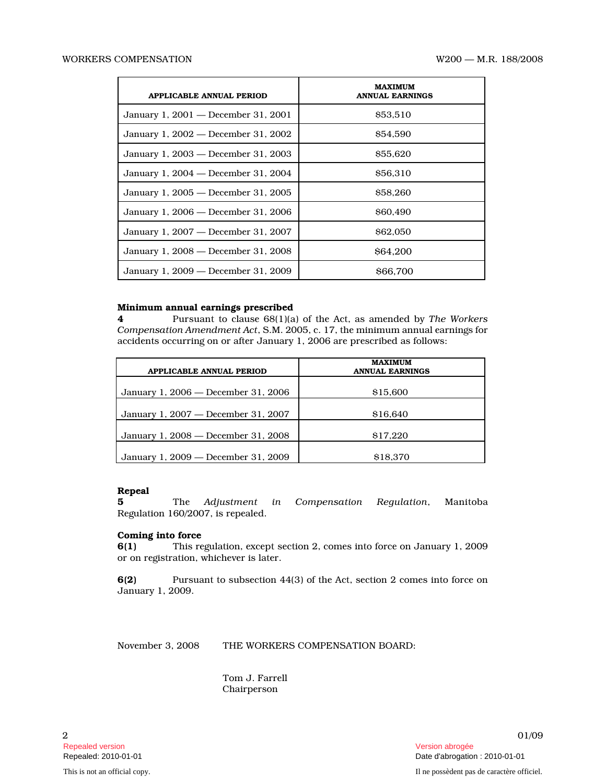| <b>APPLICABLE ANNUAL PERIOD</b>     | MAXIMUM<br><b>ANNUAL EARNINGS</b> |
|-------------------------------------|-----------------------------------|
| January 1, 2001 — December 31, 2001 | \$53,510                          |
| January 1, 2002 — December 31, 2002 | <b>S54.590</b>                    |
| January 1, 2003 — December 31, 2003 | \$55,620                          |
| January 1, 2004 – December 31, 2004 | <b>S56.310</b>                    |
| January 1, 2005 — December 31, 2005 | <b>S58.260</b>                    |
| January 1, 2006 — December 31, 2006 | \$60,490                          |
| January 1, 2007 — December 31, 2007 | <b>S62.050</b>                    |
| January 1, 2008 — December 31, 2008 | <b>S64.200</b>                    |
| January 1, 2009 — December 31, 2009 | <b>S66.700</b>                    |

### Minimum annual earnings prescribed

4 Pursuant to clause 68(1)(a) of the Act, as amended by The Workers Compensation Amendment Act, S.M. 2005, c. 17, the minimum annual earnings for accidents occurring on or after January 1, 2006 are prescribed as follows:

| APPLICABLE ANNUAL PERIOD            | <b>MAXIMUM</b><br><b>ANNUAL EARNINGS</b> |
|-------------------------------------|------------------------------------------|
| January 1, 2006 — December 31, 2006 | \$15,600                                 |
| January 1, 2007 — December 31, 2007 | \$16.640                                 |
| January 1, 2008 – December 31, 2008 | \$17.220                                 |
| January 1, 2009 — December 31, 2009 | \$18,370                                 |

### Repeal

5 The Adjustment in Compensation Regulation, Manitoba Regulation 160/2007, is repealed.

# Coming into force

6(1) This regulation, except section 2, comes into force on January 1, 2009 or on registration, whichever is later.

6(2) Pursuant to subsection 44(3) of the Act, section 2 comes into force on January 1, 2009.

November 3, 2008 THE WORKERS COMPENSATION BOARD:

Tom J. Farrell Chairperson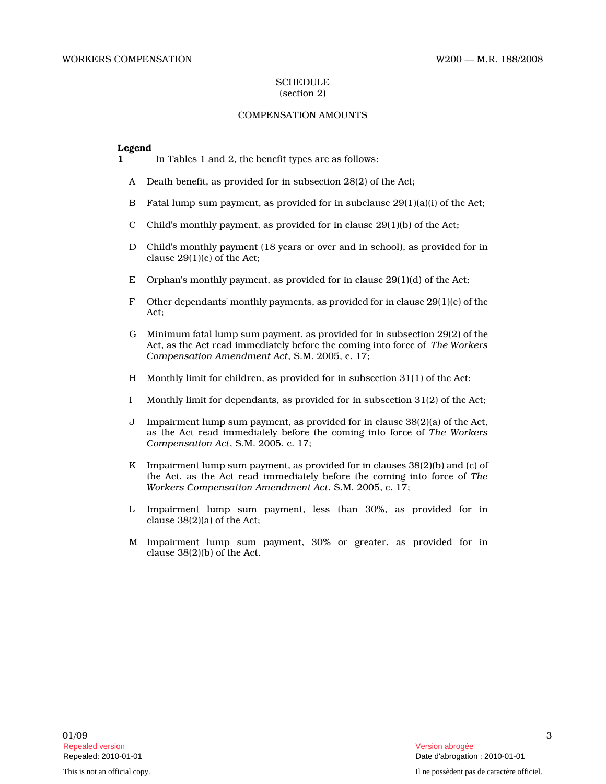#### **SCHEDULE** (section 2)

# COMPENSATION AMOUNTS

#### Legend

- 1 In Tables 1 and 2, the benefit types are as follows:
	- A Death benefit, as provided for in subsection 28(2) of the Act;
	- B Fatal lump sum payment, as provided for in subclause  $29(1)(a)(i)$  of the Act;
	- C Child's monthly payment, as provided for in clause  $29(1)(b)$  of the Act;
	- D Child's monthly payment (18 years or over and in school), as provided for in clause 29(1)(c) of the Act;
	- E Orphan's monthly payment, as provided for in clause  $29(1)(d)$  of the Act;
	- F Other dependants' monthly payments, as provided for in clause  $29(1)(e)$  of the Act;
	- G Minimum fatal lump sum payment, as provided for in subsection 29(2) of the Act, as the Act read immediately before the coming into force of The Workers Compensation Amendment Act, S.M. 2005, c. 17;
	- H Monthly limit for children, as provided for in subsection 31(1) of the Act;
	- I Monthly limit for dependants, as provided for in subsection 31(2) of the Act;
	- J Impairment lump sum payment, as provided for in clause 38(2)(a) of the Act, as the Act read immediately before the coming into force of The Workers Compensation Act, S.M. 2005, c. 17;
	- K Impairment lump sum payment, as provided for in clauses 38(2)(b) and (c) of the Act, as the Act read immediately before the coming into force of The Workers Compensation Amendment Act, S.M. 2005, c. 17;
	- L Impairment lump sum payment, less than 30%, as provided for in clause 38(2)(a) of the Act;
	- M Impairment lump sum payment, 30% or greater, as provided for in clause 38(2)(b) of the Act.

3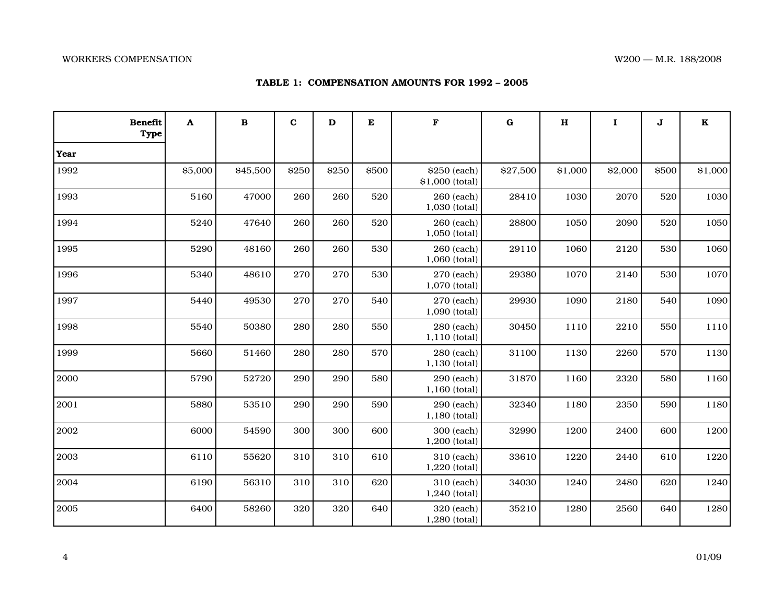|  | TABLE 1: COMPENSATION AMOUNTS FOR 1992 – 2005 |  |  |
|--|-----------------------------------------------|--|--|
|--|-----------------------------------------------|--|--|

| <b>Benefit</b><br><b>Type</b> | A       | $\bf{B}$ | $\mathbf c$ | D     | E     | $\mathbf F$                     | $\bf G$  | $\bf H$ | $\mathbf I$ | J     | $\mathbf K$ |
|-------------------------------|---------|----------|-------------|-------|-------|---------------------------------|----------|---------|-------------|-------|-------------|
| Year                          |         |          |             |       |       |                                 |          |         |             |       |             |
| 1992                          | \$5,000 | \$45,500 | \$250       | \$250 | \$500 | \$250 (each)<br>\$1,000 (total) | \$27,500 | \$1,000 | \$2,000     | \$500 | \$1,000     |
| 1993                          | 5160    | 47000    | 260         | 260   | 520   | 260 (each)<br>1,030 (total)     | 28410    | 1030    | 2070        | 520   | 1030        |
| 1994                          | 5240    | 47640    | 260         | 260   | 520   | 260 (each)<br>1,050 (total)     | 28800    | 1050    | 2090        | 520   | 1050        |
| 1995                          | 5290    | 48160    | 260         | 260   | 530   | 260 (each)<br>1,060 (total)     | 29110    | 1060    | 2120        | 530   | 1060        |
| 1996                          | 5340    | 48610    | 270         | 270   | 530   | 270 (each)<br>1,070 (total)     | 29380    | 1070    | 2140        | 530   | 1070        |
| 1997                          | 5440    | 49530    | 270         | 270   | 540   | 270 (each)<br>1,090 (total)     | 29930    | 1090    | 2180        | 540   | 1090        |
| 1998                          | 5540    | 50380    | 280         | 280   | 550   | 280 (each)<br>1,110 (total)     | 30450    | 1110    | 2210        | 550   | 1110        |
| 1999                          | 5660    | 51460    | 280         | 280   | 570   | 280 (each)<br>1,130 (total)     | 31100    | 1130    | 2260        | 570   | 1130        |
| 2000                          | 5790    | 52720    | 290         | 290   | 580   | 290 (each)<br>1,160 (total)     | 31870    | 1160    | 2320        | 580   | 1160        |
| 2001                          | 5880    | 53510    | 290         | 290   | 590   | 290 (each)<br>1,180 (total)     | 32340    | 1180    | 2350        | 590   | 1180        |
| 2002                          | 6000    | 54590    | 300         | 300   | 600   | 300 (each)<br>1,200 (total)     | 32990    | 1200    | 2400        | 600   | 1200        |
| 2003                          | 6110    | 55620    | 310         | 310   | 610   | 310 (each)<br>1,220 (total)     | 33610    | 1220    | 2440        | 610   | 1220        |
| 2004                          | 6190    | 56310    | 310         | 310   | 620   | 310 (each)<br>1,240 (total)     | 34030    | 1240    | 2480        | 620   | 1240        |
| 2005                          | 6400    | 58260    | 320         | 320   | 640   | 320 (each)<br>1,280 (total)     | 35210    | 1280    | 2560        | 640   | 1280        |